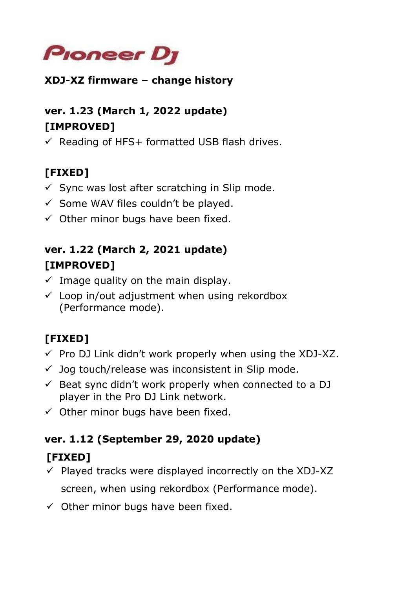

#### **XDJ-XZ firmware – change history**

### **ver. 1.23 (March 1, 2022 update) [IMPROVED]**

 $\checkmark$  Reading of HFS+ formatted USB flash drives.

# **[FIXED]**

- $\checkmark$  Sync was lost after scratching in Slip mode.
- $\checkmark$  Some WAV files couldn't be played.
- $\checkmark$  Other minor bugs have been fixed.

### **ver. 1.22 (March 2, 2021 update) [IMPROVED]**

- $\checkmark$  Image quality on the main display.
- $\checkmark$  Loop in/out adjustment when using rekordbox (Performance mode).

# **[FIXED]**

- $\checkmark$  Pro DJ Link didn't work properly when using the XDJ-XZ.
- $\checkmark$  Jog touch/release was inconsistent in Slip mode.
- $\checkmark$  Beat sync didn't work properly when connected to a DJ player in the Pro DJ Link network.
- $\checkmark$  Other minor bugs have been fixed.

#### **ver. 1.12 (September 29, 2020 update)**

### **[FIXED]**

- $\checkmark$  Played tracks were displayed incorrectly on the XDJ-XZ screen, when using rekordbox (Performance mode).
- $\checkmark$  Other minor bugs have been fixed.